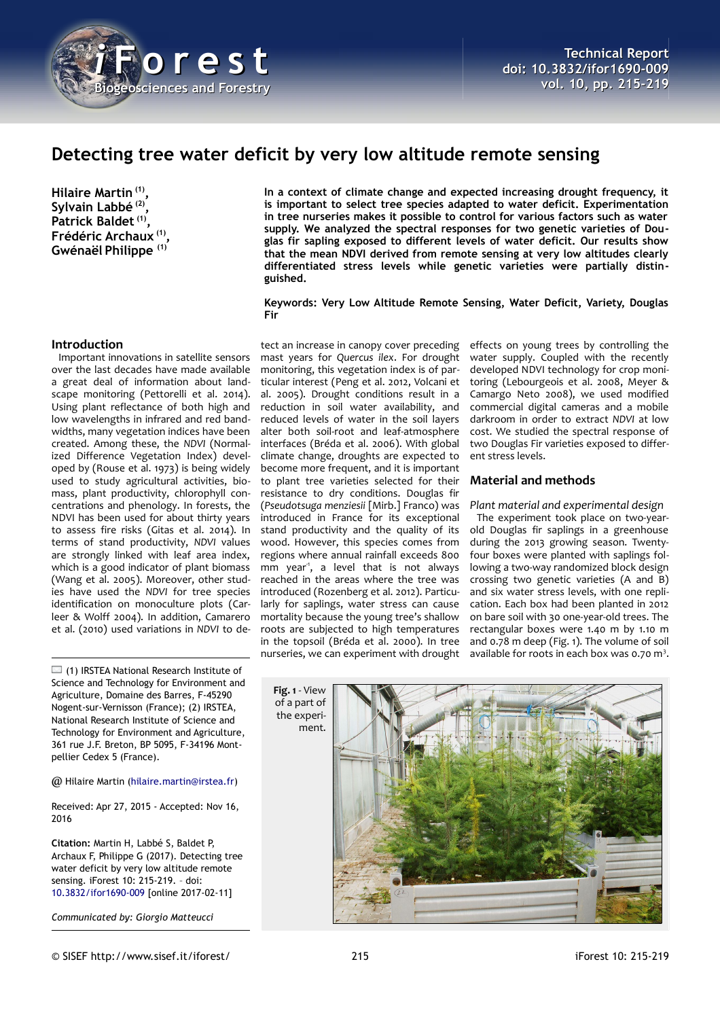

# **Detecting tree water deficit by very low altitude remote sensing**

**Hilaire Martin (1) , Sylvain Labbé (2) , Patrick Baldet (1) , Frédéric Archaux (1) , Gwénaël Philippe (1)**

**In a context of climate change and expected increasing drought frequency, it is important to select tree species adapted to water deficit. Experimentation in tree nurseries makes it possible to control for various factors such as water supply. We analyzed the spectral responses for two genetic varieties of Douglas fir sapling exposed to different levels of water deficit. Our results show that the mean NDVI derived from remote sensing at very low altitudes clearly differentiated stress levels while genetic varieties were partially distinguished.**

#### **Keywords: Very Low Altitude Remote Sensing, Water Deficit, Variety, Douglas Fir**

# **Introduction**

Important innovations in satellite sensors over the last decades have made available a great deal of information about landscape monitoring (Pettorelli et al. 2014). Using plant reflectance of both high and low wavelengths in infrared and red bandwidths, many vegetation indices have been created. Among these, the *NDVI* (Normalized Difference Vegetation Index) developed by (Rouse et al. 1973) is being widely used to study agricultural activities, biomass, plant productivity, chlorophyll concentrations and phenology. In forests, the NDVI has been used for about thirty years to assess fire risks (Gitas et al. 2014). In terms of stand productivity, *NDVI* values are strongly linked with leaf area index, which is a good indicator of plant biomass (Wang et al. 2005). Moreover, other studies have used the *NDVI* for tree species identification on monoculture plots (Carleer & Wolff 2004). In addition, Camarero et al. (2010) used variations in *NDVI* to de-

 $\Box$  (1) IRSTEA National Research Institute of Science and Technology for Environment and Agriculture, Domaine des Barres, F-45290 Nogent-sur-Vernisson (France); (2) IRSTEA, National Research Institute of Science and Technology for Environment and Agriculture, 361 rue J.F. Breton, BP 5095, F-34196 Montpellier Cedex 5 (France).

@ Hilaire Martin [\(hilaire.martin@irstea.fr\)](mailto:hilaire.martin@irstea.fr)

Received: Apr 27, 2015 - Accepted: Nov 16, 2016

**Citation:** Martin H, Labbé S, Baldet P, Archaux F, Philippe G (2017). Detecting tree water deficit by very low altitude remote sensing. iForest 10: 215-219. – doi[:](http://www.sisef.it/iforest/contents/?id=ifor1690-009) [10.3832/ifor1690-009](http://www.sisef.it/iforest/contents/?id=ifor1690-009) [online 2017-02-11]

*Communicated by: Giorgio Matteucci*

tect an increase in canopy cover preceding mast years for *Quercus ilex*. For drought monitoring, this vegetation index is of particular interest (Peng et al. 2012, Volcani et al. 2005). Drought conditions result in a reduction in soil water availability, and reduced levels of water in the soil layers alter both soil-root and leaf-atmosphere interfaces (Bréda et al. 2006). With global climate change, droughts are expected to become more frequent, and it is important to plant tree varieties selected for their resistance to dry conditions. Douglas fir (*Pseudotsuga menziesii* [Mirb.] Franco) was introduced in France for its exceptional stand productivity and the quality of its wood. However, this species comes from regions where annual rainfall exceeds 800 mm year<sup>-1</sup>, a level that is not always reached in the areas where the tree was introduced (Rozenberg et al. 2012). Particularly for saplings, water stress can cause mortality because the young tree's shallow roots are subjected to high temperatures in the topsoil (Bréda et al. 2000). In tree nurseries, we can experiment with drought

effects on young trees by controlling the water supply. Coupled with the recently developed NDVI technology for crop monitoring (Lebourgeois et al. 2008, Meyer & Camargo Neto 2008), we used modified commercial digital cameras and a mobile darkroom in order to extract *NDVI* at low cost. We studied the spectral response of two Douglas Fir varieties exposed to different stress levels.

### **Material and methods**

*Plant material and experimental design* The experiment took place on two-yearold Douglas fir saplings in a greenhouse during the 2013 growing season. Twentyfour boxes were planted with saplings following a two-way randomized block design crossing two genetic varieties (A and B) and six water stress levels, with one replication. Each box had been planted in 2012 on bare soil with 30 one-year-old trees. The rectangular boxes were 1.40 m by 1.10 m and 0.78 m deep [\(Fig. 1\)](#page-0-0). The volume of soil available for roots in each box was 0.70 m<sup>3</sup>.

<span id="page-0-0"></span>**Fig. 1** - View of a part of the experiment.

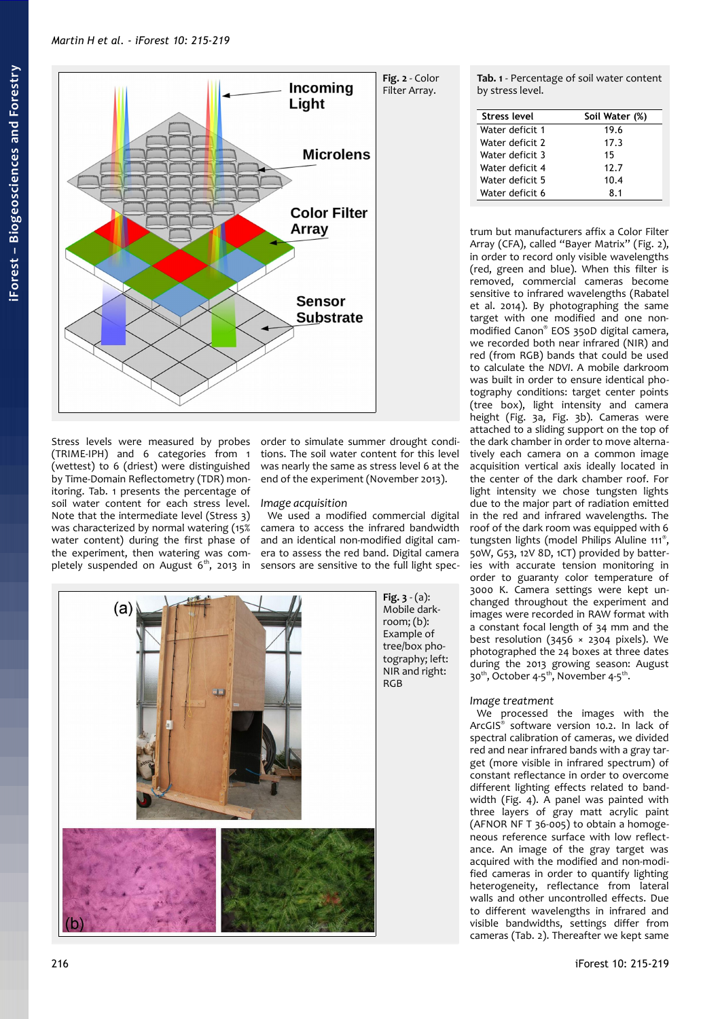

Stress levels were measured by probes (TRIME-IPH) and 6 categories from 1 (wettest) to 6 (driest) were distinguished by Time-Domain Reflectometry (TDR) monitoring. [Tab. 1](#page-1-2) presents the percentage of soil water content for each stress level. Note that the intermediate level (Stress 3) was characterized by normal watering (15% water content) during the first phase of the experiment, then watering was completely suspended on August  $6<sup>th</sup>$ , 2013 in

order to simulate summer drought conditions. The soil water content for this level was nearly the same as stress level 6 at the end of the experiment (November 2013).

# *Image acquisition*

We used a modified commercial digital camera to access the infrared bandwidth and an identical non-modified digital camera to assess the red band. Digital camera sensors are sensitive to the full light spec-



<span id="page-1-2"></span><span id="page-1-1"></span>**Tab. 1** - Percentage of soil water content by stress level.

| <b>Stress level</b> | Soil Water (%) |  |  |
|---------------------|----------------|--|--|
| Water deficit 1     | 19.6           |  |  |
| Water deficit 2     | 17.3           |  |  |
| Water deficit 3     | 15             |  |  |
| Water deficit 4     | 12.7           |  |  |
| Water deficit 5     | 10.4           |  |  |
| Water deficit 6     | 81             |  |  |

trum but manufacturers affix a Color Filter Array (CFA), called "Bayer Matrix" [\(Fig. 2\)](#page-1-1), in order to record only visible wavelengths (red, green and blue). When this filter is removed, commercial cameras become sensitive to infrared wavelengths (Rabatel et al. 2014). By photographing the same target with one modified and one nonmodified Canon® EOS 350D digital camera, we recorded both near infrared (NIR) and red (from RGB) bands that could be used to calculate the *NDVI*. A mobile darkroom was built in order to ensure identical photography conditions: target center points (tree box), light intensity and camera height [\(Fig. 3a](#page-1-0), [Fig. 3b](#page-1-0)). Cameras were attached to a sliding support on the top of the dark chamber in order to move alternatively each camera on a common image acquisition vertical axis ideally located in the center of the dark chamber roof. For light intensity we chose tungsten lights due to the major part of radiation emitted in the red and infrared wavelengths. The roof of the dark room was equipped with 6 tungsten lights (model Philips Aluline 111® , 50W, G53, 12V 8D, 1CT) provided by batteries with accurate tension monitoring in order to guaranty color temperature of 3000 K. Camera settings were kept unchanged throughout the experiment and images were recorded in RAW format with a constant focal length of 34 mm and the best resolution (3456  $\times$  2304 pixels). We photographed the 24 boxes at three dates during the 2013 growing season: August 30<sup>th</sup>, October 4-5<sup>th</sup>, November 4-5<sup>th</sup>.

# <span id="page-1-0"></span>*Image treatment*

We processed the images with the ArcGIS® software version 10.2. In lack of spectral calibration of cameras, we divided red and near infrared bands with a gray target (more visible in infrared spectrum) of constant reflectance in order to overcome different lighting effects related to bandwidth [\(Fig. 4\)](#page-2-1). A panel was painted with three layers of gray matt acrylic paint (AFNOR NF T 36-005) to obtain a homogeneous reference surface with low reflectance. An image of the gray target was acquired with the modified and non-modified cameras in order to quantify lighting heterogeneity, reflectance from lateral walls and other uncontrolled effects. Due to different wavelengths in infrared and visible bandwidths, settings differ from cameras [\(Tab. 2\)](#page-2-0). Thereafter we kept same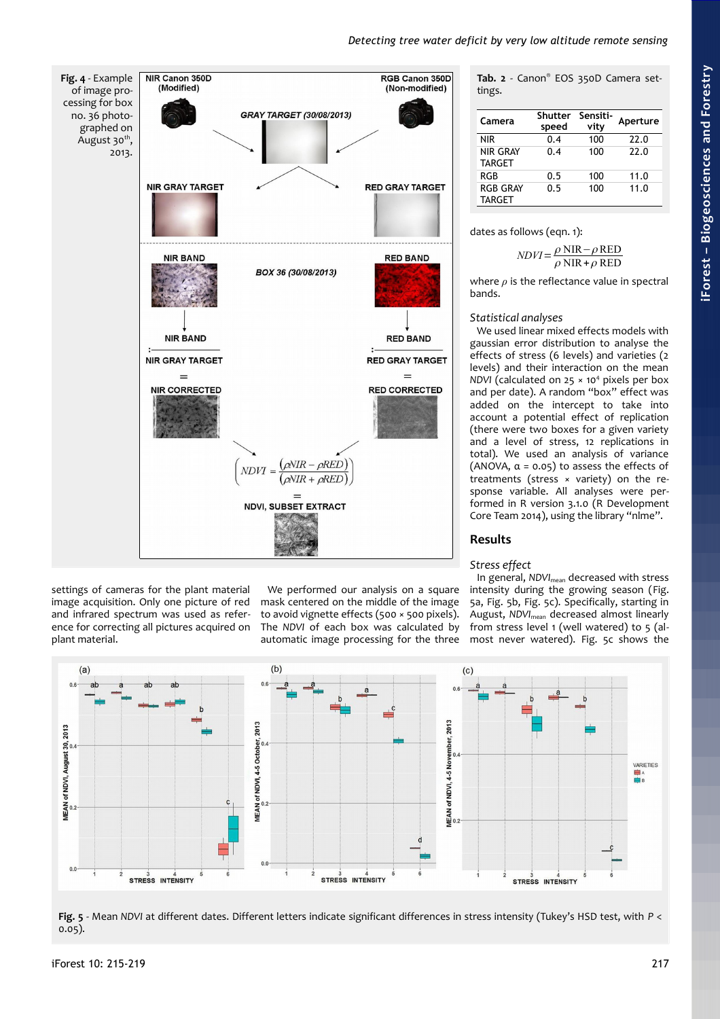# *Detecting tree water deficit by very low altitude remote sensing*

<span id="page-2-1"></span>

<span id="page-2-0"></span>**Tab. 2** - Canon® EOS 350D Camera settings.

| Camera                           | <b>Shutter</b><br>speed | Sensiti-<br>vity | Aperture |
|----------------------------------|-------------------------|------------------|----------|
| <b>NIR</b>                       | 0.4                     | 100              | 22.0     |
| <b>NIR GRAY</b><br><b>TARGET</b> | 0.4                     | 100              | 22.0     |
| <b>RGB</b>                       | 0.5                     | 100              | 11.0     |
| <b>RGB GRAY</b><br><b>TARGET</b> | 0.5                     | 100              | 11.0     |

dates as follows (eqn. 1):

$$
NDVI = \frac{\rho \text{ NIR} - \rho \text{RED}}{\rho \text{ NIR} + \rho \text{RED}}
$$

where *ρ* is the reflectance value in spectral bands.

# *Statistical analyses*

We used linear mixed effects models with gaussian error distribution to analyse the effects of stress (6 levels) and varieties (2 levels) and their interaction on the mean NDVI (calculated on 25 × 10<sup>4</sup> pixels per box and per date). A random "box" effect was added on the intercept to take into account a potential effect of replication (there were two boxes for a given variety and a level of stress, 12 replications in total). We used an analysis of variance (ANOVA,  $\alpha$  = 0.05) to assess the effects of treatments (stress × variety) on the response variable. All analyses were performed in R version 3.1.0 (R Development Core Team 2014), using the library "nlme".

# **Results**

#### *Stress effect*

In general, *NDVI*<sub>mean</sub> decreased with stress intensity during the growing season [\(Fig.](#page-2-2) [5a](#page-2-2), [Fig. 5b](#page-2-2), [Fig. 5c](#page-2-2)). Specifically, starting in August, *NDVI*mean decreased almost linearly from stress level 1 (well watered) to 5 (almost never watered). [Fig. 5c](#page-2-2) shows the



We performed our analysis on a square mask centered on the middle of the image to avoid vignette effects (500 × 500 pixels). The *NDVI* of each box was calculated by automatic image processing for the three

<span id="page-2-2"></span>**Fig. 5** - Mean *NDVI* at different dates. Different letters indicate significant differences in stress intensity (Tukey's HSD test, with *P* < 0.05).

settings of cameras for the plant material image acquisition. Only one picture of red and infrared spectrum was used as reference for correcting all pictures acquired on

plant material.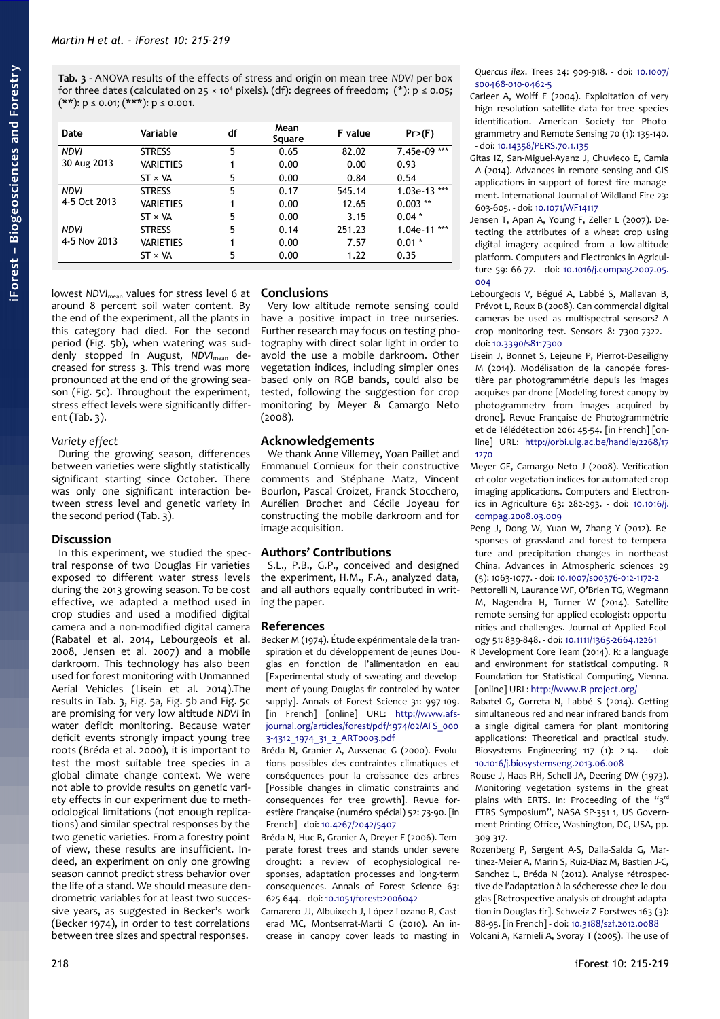<span id="page-3-0"></span>**Tab. 3** - ANOVA results of the effects of stress and origin on mean tree *NDVI* per box for three dates (calculated on 25  $\times$  10<sup>4</sup> pixels). (df): degrees of freedom; (\*): p  $\leq$  0.05;  $(**)$ :  $p \le 0.01; (***)$ :  $p \le 0.001$ .

| Date                        | Variable       | df | Mean<br>Square | F value | Pr>(F)         |
|-----------------------------|----------------|----|----------------|---------|----------------|
| <b>NDVI</b>                 | <b>STRESS</b>  | 5  | 0.65           | 82.02   | 7.45e-09 ***   |
| 30 Aug 2013                 | VARIETIES      | 1  | 0.00           | 0.00    | 0.93           |
|                             | $ST \times VA$ | 5  | 0.00           | 0.84    | 0.54           |
| <b>NDVI</b><br>4-5 Oct 2013 | <b>STRESS</b>  | 5  | 0.17           | 545.14  | $1.03e-13$ *** |
|                             | VARIETIES      | 1  | 0.00           | 12.65   | $0.003$ **     |
|                             | $ST \times VA$ | 5  | 0.00           | 3.15    | $0.04*$        |
| <b>NDVI</b><br>4-5 Nov 2013 | <b>STRESS</b>  | 5  | 0.14           | 251.23  | $1.04e-11$ *** |
|                             | VARIETIES      | 1  | 0.00           | 7.57    | $0.01*$        |
|                             | $ST \times VA$ | 5  | 0.00           | 1.22    | 0.35           |

lowest *NDVI*mean values for stress level 6 at **Conclusions** around 8 percent soil water content. By the end of the experiment, all the plants in this category had died. For the second period [\(Fig. 5b](#page-2-2)), when watering was suddenly stopped in August, *NDVI*mean decreased for stress 3. This trend was more pronounced at the end of the growing season [\(Fig. 5c](#page-2-2)). Throughout the experiment, stress effect levels were significantly different [\(Tab. 3\)](#page-3-0).

#### *Variety effect*

During the growing season, differences between varieties were slightly statistically significant starting since October. There was only one significant interaction between stress level and genetic variety in the second period [\(Tab. 3\)](#page-3-0).

#### **Discussion**

In this experiment, we studied the spectral response of two Douglas Fir varieties exposed to different water stress levels during the 2013 growing season. To be cost effective, we adapted a method used in crop studies and used a modified digital camera and a non-modified digital camera (Rabatel et al. 2014, Lebourgeois et al. 2008, Jensen et al. 2007) and a mobile darkroom. This technology has also been used for forest monitoring with Unmanned Aerial Vehicles (Lisein et al. 2014).The results in [Tab. 3,](#page-3-0) [Fig. 5a](#page-2-2), [Fig. 5b](#page-2-2) and [Fig. 5c](#page-2-2) are promising for very low altitude *NDVI* in water deficit monitoring. Because water deficit events strongly impact young tree roots (Bréda et al. 2000), it is important to test the most suitable tree species in a global climate change context. We were not able to provide results on genetic variety effects in our experiment due to methodological limitations (not enough replications) and similar spectral responses by the two genetic varieties. From a forestry point of view, these results are insufficient. Indeed, an experiment on only one growing season cannot predict stress behavior over the life of a stand. We should measure dendrometric variables for at least two successive years, as suggested in Becker's work (Becker 1974), in order to test correlations between tree sizes and spectral responses.

Very low altitude remote sensing could have a positive impact in tree nurseries. Further research may focus on testing photography with direct solar light in order to avoid the use a mobile darkroom. Other vegetation indices, including simpler ones based only on RGB bands, could also be tested, following the suggestion for crop monitoring by Meyer & Camargo Neto (2008).

#### **Acknowledgements**

We thank Anne Villemey, Yoan Paillet and Emmanuel Cornieux for their constructive comments and Stéphane Matz, Vincent Bourlon, Pascal Croizet, Franck Stocchero, Aurélien Brochet and Cécile Joyeau for constructing the mobile darkroom and for image acquisition.

#### **Authors' Contributions**

S.L., P.B., G.P., conceived and designed the experiment, H.M., F.A., analyzed data, and all authors equally contributed in writing the paper.

#### **References**

- Becker M (1974). Étude expérimentale de la transpiration et du développement de jeunes Douglas en fonction de l'alimentation en eau [Experimental study of sweating and development of young Douglas fir controled by water supply]. Annals of Forest Science 31: 997-109. [in French] [online] URL: [http://www.afs](http://www.afs-journal.org/articles/forest/pdf/1974/02/AFS_0003-4312_1974_31_2_ART0003.pdf)[journal.org/articles/forest/pdf/1974/02/AFS\\_000](http://www.afs-journal.org/articles/forest/pdf/1974/02/AFS_0003-4312_1974_31_2_ART0003.pdf) [3-4312\\_1974\\_31\\_2\\_ART0003.pdf](http://www.afs-journal.org/articles/forest/pdf/1974/02/AFS_0003-4312_1974_31_2_ART0003.pdf)
- Bréda N, Granier A, Aussenac G (2000). Evolutions possibles des contraintes climatiques et conséquences pour la croissance des arbres [Possible changes in climatic constraints and consequences for tree growth]. Revue forestière Française (numéro spécial) 52: 73-90. [in French] - doi: [10.4267/2042/5407](http://dx.doi.org/10.4267/2042/5407)
- Bréda N, Huc R, Granier A, Dreyer E (2006). Temperate forest trees and stands under severe drought: a review of ecophysiological responses, adaptation processes and long-term consequences. Annals of Forest Science 63: 625-644. - doi: [10.1051/forest:2006042](http://dx.doi.org/10.1051/forest:2006042)

Camarero JJ, Albuixech J, López-Lozano R, Casterad MC, Montserrat-Martí G (2010). An increase in canopy cover leads to masting in *Quercus ilex*. Trees 24: 909-918. - doi: [10.1007/](http://dx.doi.org/10.1007/s00468-010-0462-5) [s00468-010-0462-5](http://dx.doi.org/10.1007/s00468-010-0462-5)

- Carleer A, Wolff E (2004). Exploitation of very hign resolution satellite data for tree species identification. American Society for Photogrammetry and Remote Sensing 70 (1): 135-140. - doi: [10.14358/PERS.70.1.135](http://dx.doi.org/10.14358/PERS.70.1.135)
- Gitas IZ, San-Miguel-Ayanz J, Chuvieco E, Camia A (2014). Advances in remote sensing and GIS applications in support of forest fire management. International Journal of Wildland Fire 23: 603-605. - doi: [10.1071/WF14117](http://dx.doi.org/10.1071/WF14117)
- Jensen T, Apan A, Young F, Zeller L (2007). Detecting the attributes of a wheat crop using digital imagery acquired from a low-altitude platform. Computers and Electronics in Agriculture 59: 66-77. - doi: [10.1016/j.compag.2007.05.](http://dx.doi.org/10.1016/j.compag.2007.05.004) [004](http://dx.doi.org/10.1016/j.compag.2007.05.004)
- Lebourgeois V, Bégué A, Labbé S, Mallavan B, Prévot L, Roux B (2008). Can commercial digital cameras be used as multispectral sensors? A crop monitoring test. Sensors 8: 7300-7322. doi: [10.3390/s8117300](http://dx.doi.org/10.3390/s8117300)
- Lisein J, Bonnet S, Lejeune P, Pierrot-Deseiligny M (2014). Modélisation de la canopée forestière par photogrammétrie depuis les images acquises par drone [Modeling forest canopy by photogrammetry from images acquired by drone]. Revue Française de Photogrammétrie et de Télédétection 206: 45-54. [in French] [online] URL: [http://orbi.ulg.ac.be/handle/2268/17](http://orbi.ulg.ac.be/handle/2268/171270)  $1270$
- Meyer GE, Camargo Neto J (2008). Verification of color vegetation indices for automated crop imaging applications. Computers and Electronics in Agriculture 63: 282-293. - doi: [10.1016/j.](http://dx.doi.org/10.1016/j.compag.2008.03.009) [compag.2008.03.009](http://dx.doi.org/10.1016/j.compag.2008.03.009)
- Peng J, Dong W, Yuan W, Zhang Y (2012). Responses of grassland and forest to temperature and precipitation changes in northeast China. Advances in Atmospheric sciences 29 (5): 1063-1077. - doi: [10.1007/s00376-012-1172-2](http://dx.doi.org/10.1007/s00376-012-1172-2)
- Pettorelli N, Laurance WF, O'Brien TG, Wegmann M, Nagendra H, Turner W (2014). Satellite remote sensing for applied ecologist: opportunities and challenges. Journal of Applied Ecology 51: 839-848. - doi: [10.1111/1365-2664.12261](http://dx.doi.org/10.1111/1365-2664.12261)
- R Development Core Team (2014). R: a language and environment for statistical computing. R Foundation for Statistical Computing, Vienna. [online] URL:<http://www.R-project.org/>
- Rabatel G, Gorreta N, Labbé S (2014). Getting simultaneous red and near infrared bands from a single digital camera for plant monitoring applications: Theoretical and practical study. Biosystems Engineering 117 (1): 2-14. - doi: [10.1016/j.biosystemseng.2013.06.008](http://dx.doi.org/10.1016/j.biosystemseng.2013.06.008)
- Rouse J, Haas RH, Schell JA, Deering DW (1973). Monitoring vegetation systems in the great plains with ERTS. In: Proceeding of the "3rd ETRS Symposium", NASA SP-351 1, US Government Printing Office, Washington, DC, USA, pp. 309-317.
- Rozenberg P, Sergent A-S, Dalla-Salda G, Martinez-Meier A, Marin S, Ruiz-Diaz M, Bastien J-C, Sanchez L, Bréda N (2012). Analyse rétrospective de l'adaptation à la sécheresse chez le douglas [Retrospective analysis of drought adaptation in Douglas fir]. Schweiz Z Forstwes 163 (3): 88-95. [in French] - doi: [10.3188/szf.2012.0088](http://dx.doi.org/10.3188/szf.2012.0088)

Volcani A, Karnieli A, Svoray T (2005). The use of